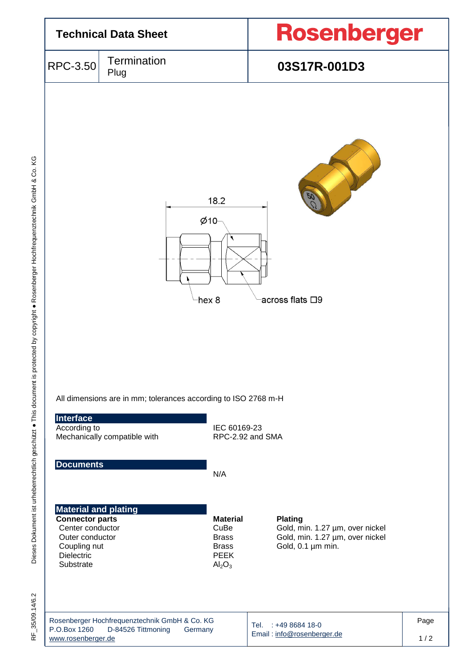

Dieses Dokument ist urheberrechtlich geschützt . This document is protected by copyright . Rosenberger Hochfrequenztechnik GmbH & Co. KG Dieses Dokument ist urheberrechtlich geschützt ● This document is protected by copyright ● Rosenberger Hochfrequenztechnik GmbH & Co. KG

 $35/09.14/6.2$ RF\_35/09.14/6.2 눈